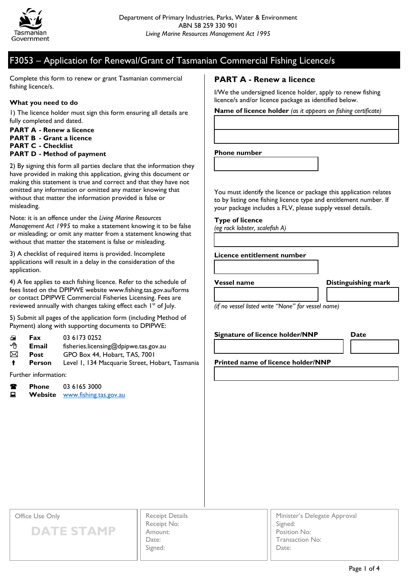

## F3053 – Application for Renewal/Grant of Tasmanian Commercial Fishing Licence/s

Complete this form to renew or grant Tasmanian commercial fishing licence/s.

#### **What you need to do**

1) The licence holder must sign this form ensuring all details are fully completed and dated.

**PART A - Renew a licence PART B - Grant a licence PART C - Checklist**

#### **PART D - Method of payment**

2) By signing this form all parties declare that the information they have provided in making this application, giving this document or making this statement is true and correct and that they have not omitted any information or omitted any matter knowing that without that matter the information provided is false or misleading.

Note: it is an offence under the *Living Marine Resources Management Act 1995* to make a statement knowing it to be false or misleading; or omit any matter from a statement knowing that without that matter the statement is false or misleading.

3) A checklist of required items is provided. Incomplete applications will result in a delay in the consideration of the application.

4) A fee applies to each fishing licence. Refer to the schedule of fees listed on the DPIPWE website www.fishing.tas.gov.au/forms or contact DPIPWE Commercial Fisheries Licensing. Fees are reviewed annually with changes taking effect each 1<sup>st</sup> of July.

5) Submit all pages of the application form (including Method of Payment) along with supporting documents to DPIPWE:

- **Fax** 03 6173 0252
- **Email** fisheries.licensing@dpipwe.tas.gov.au
- **Post** GPO Box 44, Hobart, TAS, 7001
- **Person** Level 1, 134 Macquarie Street, Hobart, Tasmania

Further information:

| Т | <b>Phone</b> | 03 6165 3000                   |
|---|--------------|--------------------------------|
| 口 |              | Website www.fishing.tas.gov.au |

### **PART A - Renew a licence**

I/We the undersigned licence holder, apply to renew fishing licence/s and/or licence package as identified below.

**Name of licence holder** *(as it appears on fishing certificate)*

#### **Phone number**

You must identify the licence or package this application relates to by listing one fishing licence type and entitlement number. If your package includes a FLV, please supply vessel details.

**Type of licence** 

*(eg rock lobster, scalefish A)*

#### **Licence entitlement number**

**Vessel name Distinguishing mark**

*(if no vessel listed write "None" for vessel name)*

**Signature of licence holder/NNP Date**

**Printed name of licence holder/NNP**

Office Use Only

**DATE STAMP**

Receipt Details Receipt No: Amount: Date: Signed:

Minister's Delegate Approval Signed: Position No: Transaction No: Date: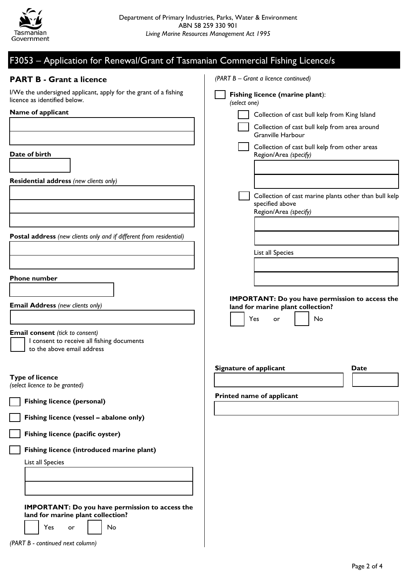

| F3053 - Application for Renewal/Grant of Tasmanian Commercial Fishing Licence/s                                    |                                                                                                   |
|--------------------------------------------------------------------------------------------------------------------|---------------------------------------------------------------------------------------------------|
| <b>PART B - Grant a licence</b>                                                                                    | (PART B - Grant a licence continued)                                                              |
| I/We the undersigned applicant, apply for the grant of a fishing<br>licence as identified below.                   | Fishing licence (marine plant):<br>(select one)                                                   |
| Name of applicant                                                                                                  | Collection of cast bull kelp from King Island                                                     |
|                                                                                                                    | Collection of cast bull kelp from area around<br><b>Granville Harbour</b>                         |
| Date of birth                                                                                                      | Collection of cast bull kelp from other areas<br>Region/Area (specify)                            |
|                                                                                                                    |                                                                                                   |
| <b>Residential address</b> (new clients only)                                                                      |                                                                                                   |
|                                                                                                                    | Collection of cast marine plants other than bull kelp<br>specified above<br>Region/Area (specify) |
|                                                                                                                    |                                                                                                   |
| Postal address (new clients only and if different from residential)                                                |                                                                                                   |
|                                                                                                                    | List all Species                                                                                  |
|                                                                                                                    |                                                                                                   |
| <b>Phone number</b>                                                                                                |                                                                                                   |
|                                                                                                                    | <b>IMPORTANT: Do you have permission to access the</b>                                            |
| <b>Email Address (new clients only)</b>                                                                            | land for marine plant collection?                                                                 |
|                                                                                                                    | No<br>Yes<br>or                                                                                   |
| <b>Email consent</b> (tick to consent)<br>I consent to receive all fishing documents<br>to the above email address |                                                                                                   |
|                                                                                                                    | Signature of applicant<br><b>Date</b>                                                             |
| <b>Type of licence</b>                                                                                             |                                                                                                   |
| (select licence to be granted)                                                                                     | Printed name of applicant                                                                         |
| <b>Fishing licence (personal)</b>                                                                                  |                                                                                                   |
| Fishing licence (vessel - abalone only)                                                                            |                                                                                                   |
| Fishing licence (pacific oyster)                                                                                   |                                                                                                   |
| Fishing licence (introduced marine plant)                                                                          |                                                                                                   |
| List all Species                                                                                                   |                                                                                                   |
|                                                                                                                    |                                                                                                   |
|                                                                                                                    |                                                                                                   |
| <b>IMPORTANT: Do you have permission to access the</b><br>land for marine plant collection?                        |                                                                                                   |
| Yes<br>No<br>or                                                                                                    |                                                                                                   |
| (PART B - continued next column)                                                                                   |                                                                                                   |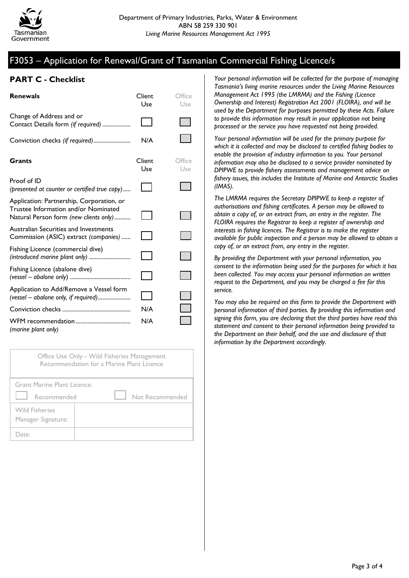# F3053 – Application for Renewal/Grant of Tasmanian Commercial Fishing Licence/s

### **PART C - Checklist**

| <b>Renewals</b>                                                                                                             | Client<br>Use | Office<br>Use |
|-----------------------------------------------------------------------------------------------------------------------------|---------------|---------------|
| Change of Address and or<br>Contact Details form (if required)                                                              |               |               |
| Conviction checks (if required)                                                                                             | N/A           |               |
| Grants                                                                                                                      | Client<br>Use | Office<br>Use |
| Proof of ID<br>(presented at counter or certified true copy)                                                                |               |               |
| Application: Partnership, Corporation, or<br>Trustee Information and/or Nominated<br>Natural Person form (new clients only) |               |               |
| Australian Securities and Investments<br>Commission (ASIC) extract (companies)                                              |               |               |
| Fishing Licence (commercial dive)<br>(introduced marine plant only)                                                         |               |               |
| Fishing Licence (abalone dive)                                                                                              |               |               |
| Application to Add/Remove a Vessel form<br>(vessel - abalone only, if required)                                             |               |               |
|                                                                                                                             | N/A           |               |
| (marine plant only)                                                                                                         | N/A           |               |

Office Use Only - Wild Fisheries Management Recommendation for a Marine Plant Licence

| Grant Marine Plant Licence:<br>Recommended  | Not Recommended |
|---------------------------------------------|-----------------|
| <b>Wild Fisheries</b><br>Manager Signature: |                 |
| Date:                                       |                 |

*Your personal information will be collected for the purpose of managing Tasmania's living marine resources under the Living Marine Resources Management Act 1995 (the LMRMA) and the Fishing (Licence Ownership and Interest) Registration Act 2001 (FLOIRA), and will be used by the Department for purposes permitted by these Acts. Failure to provide this information may result in your application not being processed or the service you have requested not being provided.*

*Your personal information will be used for the primary purpose for which it is collected and may be disclosed to certified fishing bodies to enable the provision of industry information to you. Your personal information may also be disclosed to a service provider nominated by DPIPWE to provide fishery assessments and management advice on fishery issues, this includes the Institute of Marine and Antarctic Studies (IMAS).*

*The LMRMA requires the Secretary DPIPWE to keep a register of authorisations and fishing certificates. A person may be allowed to obtain a copy of, or an extract from, an entry in the register. The FLOIRA requires the Registrar to keep a register of ownership and interests in fishing licences. The Registrar is to make the register available for public inspection and a person may be allowed to obtain a copy of, or an extract from, any entry in the register.*

*By providing the Department with your personal information, you consent to the information being used for the purposes for which it has been collected. You may access your personal information on written request to the Department, and you may be charged a fee for this service.*

*You may also be required on this form to provide the Department with personal information of third parties. By providing this information and signing this form, you are declaring that the third parties have read this statement and consent to their personal information being provided to the Department on their behalf, and the use and disclosure of that information by the Department accordingly.*